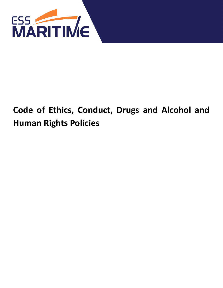

# **Code of Ethics, Conduct, Drugs and Alcohol and Human Rights Policies**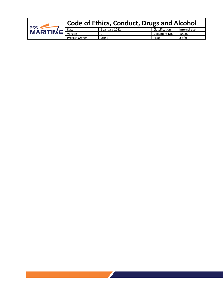| ESS<br><b>MARITIME</b> | Code of Ethics, Conduct, Drugs and Alcohol |                |                |              |  |
|------------------------|--------------------------------------------|----------------|----------------|--------------|--|
|                        | Date                                       | 6 January 2022 | Classification | Internal use |  |
|                        | Version                                    |                | Document No.   | 100.02       |  |
|                        | <b>Process Owner</b>                       | <b>QHSE</b>    | Page           | $2$ of 9     |  |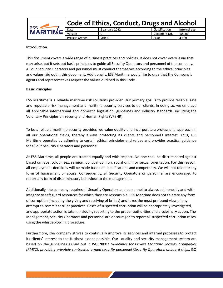| ESS<br><b>MARITIME</b> | Code of Ethics, Conduct, Drugs and Alcohol |                |                |              |  |
|------------------------|--------------------------------------------|----------------|----------------|--------------|--|
|                        | Date                                       | 6 January 2022 | Classification | Internal use |  |
|                        | Version                                    |                | Document No.   | 100.02       |  |
|                        | Process Owner                              | <b>QHSE</b>    | Page           | $3$ of 9     |  |

#### **Introduction**

This document covers a wide range of business practices and policies. It does not cover every issue that may arise, but it sets out basic principles to guide all Security Operators and personnel of the company. All our Security Operators and personnel must conduct themselves according to the ethical principles and values laid out in this document. Additionally, ESS Maritime would like to urge that the Company's agents and representatives respect the values outlined in this Code.

# **Basic Principles**

ESS Maritime is a reliable maritime risk solutions provider. Our primary goal is to provide reliable, safe and reputable risk management and maritime security services to our clients. In doing so, we embrace all applicable international and domestic legislation, guidelines and industry standards, including the Voluntary Principles on Security and Human Rights (VPSHR).

To be a reliable maritime security provider, we value quality and incorporate a professional approach in all our operational fields, thereby always protecting its clients and personnel's interest. Thus, ESS Maritime operates by adhering to certain ethical principles and values and provides practical guidance for all our Security Operators and personnel.

At ESS Maritime, all people are treated equally and with respect. No one shall be discriminated against based on race, colour, sex, religion, political opinion, social origin or sexual orientation. For this reason, all employment decisions will be made based on qualifications and competency. We will not tolerate any form of harassment or abuse. Consequently, all Security Operators or personnel are encouraged to report any form of discriminatory behaviour to the management.

Additionally, the company requires all Security Operators and personnel to always act honestly and with integrity to safeguard resources for which they are responsible. ESS Maritime does not tolerate any form of corruption (including the giving and receiving of bribes) and takes the most profound view of any attempt to commit corrupt practices. Cases of suspected corruption will be appropriately investigated, and appropriate action is taken, including reporting to the proper authorities and disciplinary action. The Management, Security Operators and personnel are encouraged to report all suspected corruption cases using the whistleblowing procedure.

Furthermore, the company strives to continually improve its services and internal processes to protect its clients' interest to the furthest extent possible. Our quality and security management system are based on the guidelines as laid out in ISO 28007 *Guidelines for Private Maritime Security Companies (PMSC), providing privately contracted armed security personnel (Security Operators) onboard ships*, ISO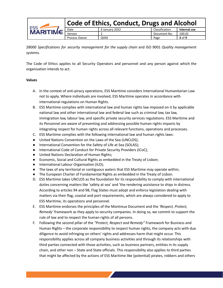| <b>ESS</b><br><b>MARITIME</b> | Code of Ethics, Conduct, Drugs and Alcohol |                |                |              |  |
|-------------------------------|--------------------------------------------|----------------|----------------|--------------|--|
|                               | Date                                       | 6 January 2022 | Classification | Internal use |  |
|                               | Version                                    |                | Document No.   | 100.02       |  |
|                               | <b>Process Owner</b>                       | <b>QHSE</b>    | Page           | 4 of 9       |  |

28000 *Specifications for security management for the supply chain* and ISO 9001 *Quality management systems.*

The Code of Ethics applies to all Security Operators and personnel and any person against which the organisation intends to act.

# **Values**

- A. In the context of anti-piracy operations, ESS Maritime considers International Humanitarian Law not to apply. Where individuals are involved, ESS Maritime operates in accordance with international regulations on Human Rights.
- B. ESS Maritime complies with international law and human rights law imposed on it by applicable national law and other international law and federal law such as criminal law, tax law, immigration law, labour law, and specific private security services regulations. ESS Maritime and its Personnel are aware of preventing and addressing possible human rights impacts by integrating respect for human rights across all relevant functions, operations and processes.
- C. ESS Maritime complies with the following international law and human rights laws:
- United Nations Convention on the Laws of the Sea (UNCLOS);
- International Convention for the Safety of Life at Sea (SOLAS);
- International Code of Conduct for Private Security Providers (ICoC);
- United Nations Declaration of Human Rights;
- Economic, Social and Cultural Rights as embedded in the Treaty of Lisbon;
- International Labour Organisation (ILO);
- The laws of any territorial or contiguous waters that ESS Maritime may operate within;
- The European Charter of Fundamental Rights as embedded in the Treaty of Lisbon.
- D. ESS Maritime takes UNCLOS as the foundation for its responsibility to comply with international duties concerning matters like 'safety at sea' and 'the rendering assistance to ships in distress. According to articles 94 and 98, Flag States must adopt and enforce legislation dealing with matters via their flag, coastal and port requirements, which are always considered to apply to ESS Maritime, its operations and personnel.
- E. ESS Maritime endorses the principles of the Montreux Document and the *'Respect, Protect, Remedy'* framework as they apply to security companies. In doing so, we commit to support the rule of law and to respect the human rights of all persons.
- F. Following the second pillar of the *"Protect, Respect and Remedy"* Framework for Business and Human Rights – the corporate responsibility to respect human rights, the company acts with due diligence to avoid infringing on others' rights and addresses harm that might occur. This responsibility applies across all company business activities and through its relationships with third parties connected with those activities, such as business partners, entities in its supply chain, and other non – State and State officials. This responsibility also applies to third parties that might be affected by the actions of ESS Maritime like (potential) pirates, robbers and others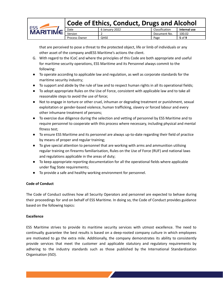

that are perceived to pose a threat to the protected object, life or limb of individuals or any other asset of the company andESS Maritime's actions the client.

- G. With regard to the ICoC and where the principles of this Code are both appropriate and useful for maritime security operations, ESS Maritime and its Personnel always commit to the following:
- To operate according to applicable law and regulation, as well as corporate standards for the maritime security industry;
- To support and abide by the rule of law and to respect human rights in all its operational fields;
- To adopt appropriate Rules on the Use of Force, consistent with applicable law and to take all reasonable steps to avoid the use of force;
- Not to engage in torture or other cruel, inhuman or degrading treatment or punishment, sexual exploitation or gender-based violence, human trafficking, slavery or forced labour and every other inhumane treatment of persons;
- To exercise due diligence during the selection and vetting of personnel by ESS Maritime and to require personnel to cooperate with this process where necessary, including physical and mental fitness test;
- To ensure ESS Maritime and its personnel are always up-to-date regarding their field of practice by means of proper and regular training;
- To give special attention to personnel that are working with arms and ammunition utilising regular training on firearms familiarisation, Rules on the Use of Force (RUF) and national laws and regulations applicable in the areas of duty;
- To keep appropriate reporting documentation for all the operational fields where applicable under flag State requirements;
- To provide a safe and healthy working environment for personnel.

# **Code of Conduct**

The Code of Conduct outlines how all Security Operators and personnel are expected to behave during their proceedings for and on behalf of ESS Maritime. In doing so, the Code of Conduct provides guidance based on the following topics:

# **Excellence**

ESS Maritime strives to provide its maritime security services with utmost excellence. The need to continually guarantee the best results is based on a deep-rooted company culture in which employees are motivated to go the extra mile. Additionally, the company demonstrates its ability to consistently provide services that meet the customer and applicable statutory and regulatory requirements by adhering to the industry standards such as those published by the International Standardization Organisation (ISO).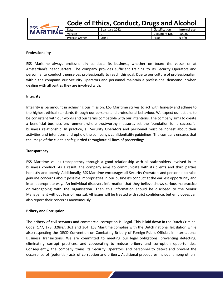| ESS<br><b>MARITIME</b> | Code of Ethics, Conduct, Drugs and Alcohol |                |                |              |  |
|------------------------|--------------------------------------------|----------------|----------------|--------------|--|
|                        | Date                                       | 6 January 2022 | Classification | Internal use |  |
|                        | Version                                    |                | Document No.   | 100.02       |  |
|                        | Process Owner                              | <b>QHSE</b>    | Page           | 6 of 9       |  |

#### **Professionality**

ESS Maritime always professionally conducts its business, whether on board the vessel or at Amsterdam's headquarters. The company provides sufficient training to its Security Operators and personnel to conduct themselves professionally to reach this goal. Due to our culture of professionalism within the company, our Security Operators and personnel maintain a professional demeanour when dealing with all parties they are involved with.

#### **Integrity**

Integrity is paramount in achieving our mission. ESS Maritime strives to act with honesty and adhere to the highest ethical standards through our personal and professional behaviour. We expect our actions to be consistent with our words and our terms compatible with our intentions. The company aims to create a beneficial business environment where trustworthy measures set the foundation for a successful business relationship. In practice, all Security Operators and personnel must be honest about their activities and intentions and uphold the company's confidentiality guidelines. The company ensures that the image of the client is safeguarded throughout all lines of proceedings.

#### **Transparency**

ESS Maritime values transparency through a good relationship with all stakeholders involved in its business conduct. As a result, the company aims to communicate with its clients and third parties honestly and openly. Additionally, ESS Maritime encourages all Security Operators and personnel to raise genuine concerns about possible improprieties in our business's conduct at the earliest opportunity and in an appropriate way. An individual discovers information that they believe shows serious malpractice or wrongdoing with the organisation. Then this information should be disclosed to the Senior Management without fear of reprisal. All issues will be treated with strict confidence, but employees can also report their concerns anonymously.

# **Bribery and Corruption**

The bribery of civil servants and commercial corruption is illegal. This is laid down in the Dutch Criminal Code, 177, 178, 328*ter*, 363 and 364. ESS Maritime complies with the Dutch national legislation while also respecting the OECD Convention on Combating Bribery of Foreign Public Officials in International Business Transactions. We are committed to meeting our legal obligations, preventing detecting, eliminating corrupt practices, and cooperating to reduce bribery and corruption opportunities. Consequently, the company trains its Security Operators and personnel to detect and prevent the occurrence of (potential) acts of corruption and bribery. Additional procedures include, among others,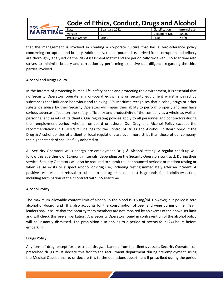| ESS<br><b>MARITIME</b> | Code of Ethics, Conduct, Drugs and Alcohol |                |                |              |  |
|------------------------|--------------------------------------------|----------------|----------------|--------------|--|
|                        | Date                                       | 6 January 2022 | Classification | Internal use |  |
|                        | Version                                    |                | Document No.   | 100.02       |  |
|                        | <b>Process Owner</b>                       | QHSE           | Page           | 7 of 9       |  |

that the management is involved in creating a corporate culture that has a zero-tolerance policy concerning corruption and bribery. Additionally, the corporate risks derived from corruption and bribery are thoroughly analysed via the Risk Assessment Matrix and are periodically reviewed. ESS Maritime also strives to minimise bribery and corruption by performing extensive due diligence regarding the third parties involved.

# **Alcohol and Drugs Policy**

In the interest of protecting human life, safety at sea and protecting the environment, it is essential that no Security Operators operate any on-board equipment or security equipment whilst impaired by substances that influence behaviour and thinking. ESS Maritime recognises that alcohol, drugs or other substance abuse by their Security Operators will impair their ability to perform properly and may have serious adverse effects on the safety, efficiency and productivity of the company as a whole as well as personnel and assets of its clients. Our regulating policies apply to all personnel and contractors during their employment period, whether on-board or ashore. Our Drug and Alcohol Policy exceeds the recommendations in OCIMF's 'Guidelines for the Control of Drugs and Alcohol On Board Ship'. If the Drug & Alcohol policies of a client or local regulations are even more strict than those of our company, the higher standard shall be fully adhered to.

All Security Operators will undergo pre-employment Drug & Alcohol testing. A regular check-up will follow this at either 6 or 12-month intervals (depending on the Security Operators contract). During their service, Security Operators will also be required to submit to unannounced periodic or random testing or when cause exists to suspect alcohol or drug use, including testing immediately after an incident. A positive test result or refusal to submit to a drug or alcohol test is grounds for disciplinary action, including termination of their contract with ESS Maritime.

# **Alcohol Policy**

The maximum allowable content limit of alcohol in the blood is 0,5 mg/ml. However, our policy is zero alcohol on-board, and this also accounts for the consumption of beer and wine during dinner. Team leaders shall ensure that the security team members are not impaired by an excess of the above set limit and will check this pre-embarkation. Any Security Operators found in contravention of the alcohol policy will be instantly dismissed. The prohibition also applies to a period of twenty-four (24) hours before embarking.

# **Drugs Policy**

Any form of drug, except for prescribed drugs, is banned from the client's vessels. Security Operators on prescribed drugs must declare this fact to the recruitment department during pre-employment, using the Medical Questionnaire, or declare this to the operations department if prescribed during the period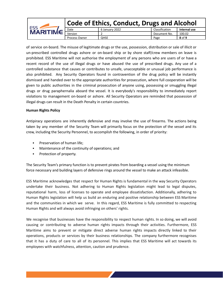| ESS<br><b>MARITIME</b> | Code of Ethics, Conduct, Drugs and Alcohol |                |                |              |  |
|------------------------|--------------------------------------------|----------------|----------------|--------------|--|
|                        | Date                                       | 6 January 2022 | Classification | Internal use |  |
|                        | Version                                    |                | Document No.   | 100.02       |  |
|                        | Process Owner                              | <b>QHSE</b>    | Page           | 8 of 9       |  |

of service on-board. The misuse of legitimate drugs or the use, possession, distribution or sale of illicit or un-prescribed controlled drugs ashore or on-board ship or by shore staff/crew members on leave is prohibited. ESS Maritime will not authorise the employment of any persons who are users of or have a recent record of the use of illegal drugs or have abused the use of prescribed drugs. Any use of a controlled substance that causes or contributes to unsafe, unacceptable or unusual job performance is also prohibited. Any Security Operators found in contravention of the drug policy will be instantly dismissed and handed over to the appropriate authorities for prosecution, where full cooperation will be given to public authorities in the criminal prosecution of anyone using, possessing or smuggling illegal drugs or drug paraphernalia aboard the vessel. It is everybody's responsibility to immediately report violations to management on-board or ashore. All Security Operators are reminded that possession of illegal drugs can result in the Death Penalty in certain countries.

#### **Human Rights Policy**

Antipiracy operations are inherently defensive and may involve the use of firearms. The actions being taken by any member of the Security Team will primarily focus on the protection of the vessel and its crew, including the Security Personnel, to accomplish the following, in order of priority:

- **•** Preservation of human life:
- Maintenance of the continuity of operations; and
- Protection of property.

The Security Team's primary function is to prevent pirates from boarding a vessel using the minimum force necessary and building layers of defensive rings around the vessel to make an attack infeasible.

ESS Maritime acknowledges that respect for Human Rights is fundamental in the way Security Operators undertake their business. Not adhering to Human Rights legislation might lead to legal disputes, reputational harm, loss of licenses to operate and employee dissatisfaction. Additionally, adhering to Human Rights legislation will help us build an enduring and positive relationship between ESS Maritime and the communities in which we serve. In this regard, ESS Maritime is fully committed to respecting Human Rights and will always avoid infringing on others' rights.

We recognise that businesses have the responsibility to respect human rights. In so doing, we will avoid causing or contributing to adverse human rights impacts through their activities. Furthermore, ESS Maritime aims to prevent or mitigate direct adverse human rights impacts directly linked to their operations, products or services by their business relationships. The company furthermore recognises that it has a duty of care to all of its personnel. This implies that ESS Maritime will act towards its employees with watchfulness, attention, caution and prudence.